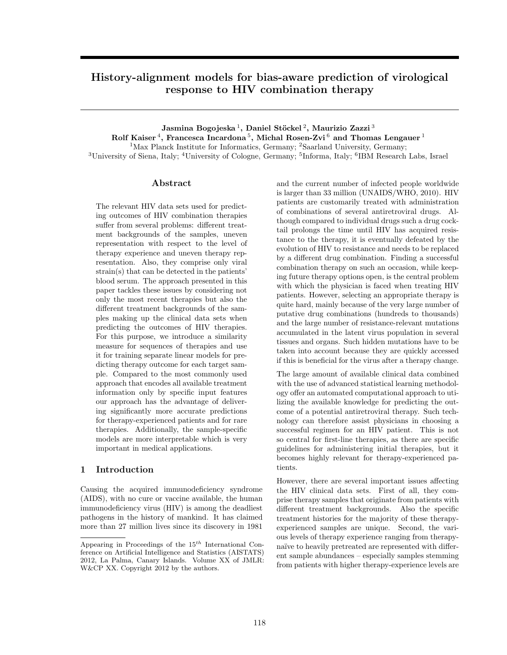# History-alignment models for bias-aware prediction of virological response to HIV combination therapy

Jasmina Bogojeska $^1,$  Daniel Stöckel $^2,$  Maurizio Zazzi $^3$ Rolf Kaiser $^4$ , Francesca Incardona $^5$ , Michal Rosen-Zvi $^6$  and Thomas Lengauer  $^1$ 

<sup>1</sup>Max Planck Institute for Informatics, Germany; <sup>2</sup>Saarland University, Germany;

<sup>3</sup>University of Siena, Italy; <sup>4</sup>University of Cologne, Germany; <sup>5</sup>Informa, Italy; <sup>6</sup>IBM Research Labs, Israel

# Abstract

The relevant HIV data sets used for predicting outcomes of HIV combination therapies suffer from several problems: different treatment backgrounds of the samples, uneven representation with respect to the level of therapy experience and uneven therapy representation. Also, they comprise only viral strain(s) that can be detected in the patients' blood serum. The approach presented in this paper tackles these issues by considering not only the most recent therapies but also the different treatment backgrounds of the samples making up the clinical data sets when predicting the outcomes of HIV therapies. For this purpose, we introduce a similarity measure for sequences of therapies and use it for training separate linear models for predicting therapy outcome for each target sample. Compared to the most commonly used approach that encodes all available treatment information only by specific input features our approach has the advantage of delivering significantly more accurate predictions for therapy-experienced patients and for rare therapies. Additionally, the sample-specific models are more interpretable which is very important in medical applications.

# 1 Introduction

Causing the acquired immunodeficiency syndrome (AIDS), with no cure or vaccine available, the human immunodeficiency virus (HIV) is among the deadliest pathogens in the history of mankind. It has claimed more than 27 million lives since its discovery in 1981

and the current number of infected people worldwide is larger than 33 million (UNAIDS/WHO, 2010). HIV patients are customarily treated with administration of combinations of several antiretroviral drugs. Although compared to individual drugs such a drug cocktail prolongs the time until HIV has acquired resistance to the therapy, it is eventually defeated by the evolution of HIV to resistance and needs to be replaced by a different drug combination. Finding a successful combination therapy on such an occasion, while keeping future therapy options open, is the central problem with which the physician is faced when treating HIV patients. However, selecting an appropriate therapy is quite hard, mainly because of the very large number of putative drug combinations (hundreds to thousands) and the large number of resistance-relevant mutations accumulated in the latent virus population in several tissues and organs. Such hidden mutations have to be taken into account because they are quickly accessed if this is beneficial for the virus after a therapy change.

The large amount of available clinical data combined with the use of advanced statistical learning methodology offer an automated computational approach to utilizing the available knowledge for predicting the outcome of a potential antiretroviral therapy. Such technology can therefore assist physicians in choosing a successful regimen for an HIV patient. This is not so central for first-line therapies, as there are specific guidelines for administering initial therapies, but it becomes highly relevant for therapy-experienced patients.

However, there are several important issues affecting the HIV clinical data sets. First of all, they comprise therapy samples that originate from patients with different treatment backgrounds. Also the specific treatment histories for the majority of these therapyexperienced samples are unique. Second, the various levels of therapy experience ranging from therapynaïve to heavily pretreated are represented with different sample abundances – especially samples stemming from patients with higher therapy-experience levels are

Appearing in Proceedings of the  $15^{th}$  International Conference on Artificial Intelligence and Statistics (AISTATS) 2012, La Palma, Canary Islands. Volume XX of JMLR: W&CP XX. Copyright 2012 by the authors.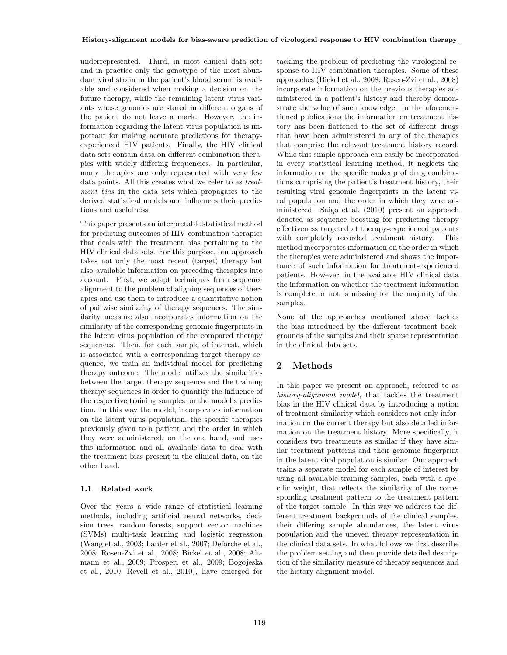underrepresented. Third, in most clinical data sets and in practice only the genotype of the most abundant viral strain in the patient's blood serum is available and considered when making a decision on the future therapy, while the remaining latent virus variants whose genomes are stored in different organs of the patient do not leave a mark. However, the information regarding the latent virus population is important for making accurate predictions for therapyexperienced HIV patients. Finally, the HIV clinical data sets contain data on different combination therapies with widely differing frequencies. In particular, many therapies are only represented with very few data points. All this creates what we refer to as treatment bias in the data sets which propagates to the derived statistical models and influences their predictions and usefulness.

This paper presents an interpretable statistical method for predicting outcomes of HIV combination therapies that deals with the treatment bias pertaining to the HIV clinical data sets. For this purpose, our approach takes not only the most recent (target) therapy but also available information on preceding therapies into account. First, we adapt techniques from sequence alignment to the problem of aligning sequences of therapies and use them to introduce a quantitative notion of pairwise similarity of therapy sequences. The similarity measure also incorporates information on the similarity of the corresponding genomic fingerprints in the latent virus population of the compared therapy sequences. Then, for each sample of interest, which is associated with a corresponding target therapy sequence, we train an individual model for predicting therapy outcome. The model utilizes the similarities between the target therapy sequence and the training therapy sequences in order to quantify the influence of the respective training samples on the model's prediction. In this way the model, incorporates information on the latent virus population, the specific therapies previously given to a patient and the order in which they were administered, on the one hand, and uses this information and all available data to deal with the treatment bias present in the clinical data, on the other hand.

### 1.1 Related work

Over the years a wide range of statistical learning methods, including artificial neural networks, decision trees, random forests, support vector machines (SVMs) multi-task learning and logistic regression (Wang et al., 2003; Larder et al., 2007; Deforche et al., 2008; Rosen-Zvi et al., 2008; Bickel et al., 2008; Altmann et al., 2009; Prosperi et al., 2009; Bogojeska et al., 2010; Revell et al., 2010), have emerged for tackling the problem of predicting the virological response to HIV combination therapies. Some of these approaches (Bickel et al., 2008; Rosen-Zvi et al., 2008) incorporate information on the previous therapies administered in a patient's history and thereby demonstrate the value of such knowledge. In the aforementioned publications the information on treatment history has been flattened to the set of different drugs that have been administered in any of the therapies that comprise the relevant treatment history record. While this simple approach can easily be incorporated in every statistical learning method, it neglects the information on the specific makeup of drug combinations comprising the patient's treatment history, their resulting viral genomic fingerprints in the latent viral population and the order in which they were administered. Saigo et al. (2010) present an approach denoted as sequence boosting for predicting therapy effectiveness targeted at therapy-experienced patients with completely recorded treatment history. This method incorporates information on the order in which the therapies were administered and shows the importance of such information for treatment-experienced patients. However, in the available HIV clinical data the information on whether the treatment information is complete or not is missing for the majority of the samples.

None of the approaches mentioned above tackles the bias introduced by the different treatment backgrounds of the samples and their sparse representation in the clinical data sets.

# 2 Methods

In this paper we present an approach, referred to as history-alignment model, that tackles the treatment bias in the HIV clinical data by introducing a notion of treatment similarity which considers not only information on the current therapy but also detailed information on the treatment history. More specifically, it considers two treatments as similar if they have similar treatment patterns and their genomic fingerprint in the latent viral population is similar. Our approach trains a separate model for each sample of interest by using all available training samples, each with a specific weight, that reflects the similarity of the corresponding treatment pattern to the treatment pattern of the target sample. In this way we address the different treatment backgrounds of the clinical samples, their differing sample abundances, the latent virus population and the uneven therapy representation in the clinical data sets. In what follows we first describe the problem setting and then provide detailed description of the similarity measure of therapy sequences and the history-alignment model.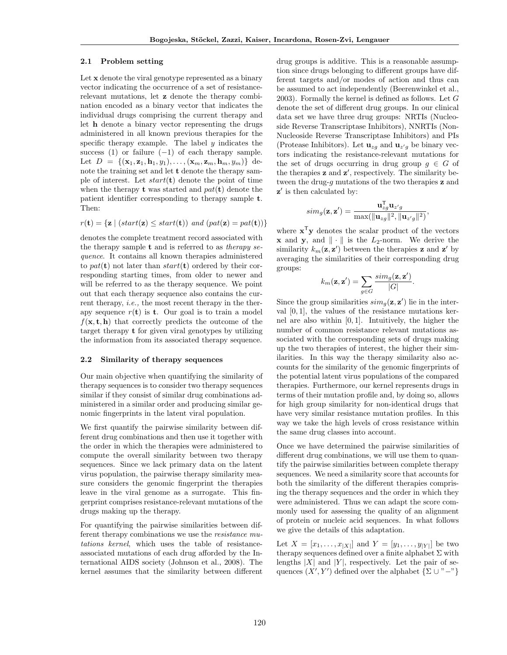### 2.1 Problem setting

Let x denote the viral genotype represented as a binary vector indicating the occurrence of a set of resistancerelevant mutations, let z denote the therapy combination encoded as a binary vector that indicates the individual drugs comprising the current therapy and let h denote a binary vector representing the drugs administered in all known previous therapies for the specific therapy example. The label  $y$  indicates the success (1) or failure  $(-1)$  of each therapy sample. Let  $D = \{(\mathbf{x}_1, \mathbf{z}_1, \mathbf{h}_1, y_1), \ldots, (\mathbf{x}_m, \mathbf{z}_m, \mathbf{h}_m, y_m)\}\$  denote the training set and let t denote the therapy sample of interest. Let  $start(t)$  denote the point of time when the therapy **t** was started and  $pat(t)$  denote the patient identifier corresponding to therapy sample t. Then:

$$
r(\mathbf{t}) = \{ \mathbf{z} \mid (start(\mathbf{z}) \leq start(\mathbf{t})) \text{ and } (pat(\mathbf{z}) = pat(\mathbf{t})) \}
$$

denotes the complete treatment record associated with the therapy sample  $t$  and is referred to as *therapy se*quence. It contains all known therapies administered to pat(t) not later than  $start(t)$  ordered by their corresponding starting times, from older to newer and will be referred to as the therapy sequence. We point out that each therapy sequence also contains the current therapy, i.e., the most recent therapy in the therapy sequence  $r(\mathbf{t})$  is **t**. Our goal is to train a model  $f(\mathbf{x}, \mathbf{t}, \mathbf{h})$  that correctly predicts the outcome of the target therapy t for given viral genotypes by utilizing the information from its associated therapy sequence.

#### 2.2 Similarity of therapy sequences

Our main objective when quantifying the similarity of therapy sequences is to consider two therapy sequences similar if they consist of similar drug combinations administered in a similar order and producing similar genomic fingerprints in the latent viral population.

We first quantify the pairwise similarity between different drug combinations and then use it together with the order in which the therapies were administered to compute the overall similarity between two therapy sequences. Since we lack primary data on the latent virus population, the pairwise therapy similarity measure considers the genomic fingerprint the therapies leave in the viral genome as a surrogate. This fingerprint comprises resistance-relevant mutations of the drugs making up the therapy.

For quantifying the pairwise similarities between different therapy combinations we use the resistance mutations kernel, which uses the table of resistanceassociated mutations of each drug afforded by the International AIDS society (Johnson et al., 2008). The kernel assumes that the similarity between different

drug groups is additive. This is a reasonable assumption since drugs belonging to different groups have different targets and/or modes of action and thus can be assumed to act independently (Beerenwinkel et al., 2003). Formally the kernel is defined as follows. Let G denote the set of different drug groups. In our clinical data set we have three drug groups: NRTIs (Nucleoside Reverse Transcriptase Inhibitors), NNRTIs (Non-Nucleoside Reverse Transcriptase Inhibitors) and PIs (Protease Inhibitors). Let  $\mathbf{u}_{zg}$  and  $\mathbf{u}_{z'g}$  be binary vectors indicating the resistance-relevant mutations for the set of drugs occurring in drug group  $g \in G$  of the therapies **z** and **z'**, respectively. The similarity between the drug- $g$  mutations of the two therapies  $z$  and z ′ is then calculated by:

$$
sim_g(\mathbf{z}, \mathbf{z}') = \frac{\mathbf{u}_{zg}^{\mathsf{T}} \mathbf{u}_{z'g}}{\max(||\mathbf{u}_{zg}||^2, ||\mathbf{u}_{z'g}||^2)},
$$

where  $x^{\mathsf{T}}y$  denotes the scalar product of the vectors **x** and **y**, and  $\|\cdot\|$  is the  $L_2$ -norm. We derive the similarity  $k_m(\mathbf{z}, \mathbf{z}')$  between the therapies **z** and **z'** by averaging the similarities of their corresponding drug groups:

$$
k_m(\mathbf{z}, \mathbf{z}') = \sum_{g \in G} \frac{sim_g(\mathbf{z}, \mathbf{z}')}{|G|}.
$$

Since the group similarities  $\text{sim}_g(\mathbf{z}, \mathbf{z}')$  lie in the interval  $[0, 1]$ , the values of the resistance mutations kernel are also within [0, 1]. Intuitively, the higher the number of common resistance relevant mutations associated with the corresponding sets of drugs making up the two therapies of interest, the higher their similarities. In this way the therapy similarity also accounts for the similarity of the genomic fingerprints of the potential latent virus populations of the compared therapies. Furthermore, our kernel represents drugs in terms of their mutation profile and, by doing so, allows for high group similarity for non-identical drugs that have very similar resistance mutation profiles. In this way we take the high levels of cross resistance within the same drug classes into account.

Once we have determined the pairwise similarities of different drug combinations, we will use them to quantify the pairwise similarities between complete therapy sequences. We need a similarity score that accounts for both the similarity of the different therapies comprising the therapy sequences and the order in which they were administered. Thus we can adapt the score commonly used for assessing the quality of an alignment of protein or nucleic acid sequences. In what follows we give the details of this adaptation.

Let  $X = [x_1, ..., x_{|X|}]$  and  $Y = [y_1, ..., y_{|Y|}]$  be two therapy sequences defined over a finite alphabet  $\Sigma$  with lengths  $|X|$  and  $|Y|$ , respectively. Let the pair of sequences  $(X', Y')$  defined over the alphabet  $\{\Sigma \cup "-"]\}$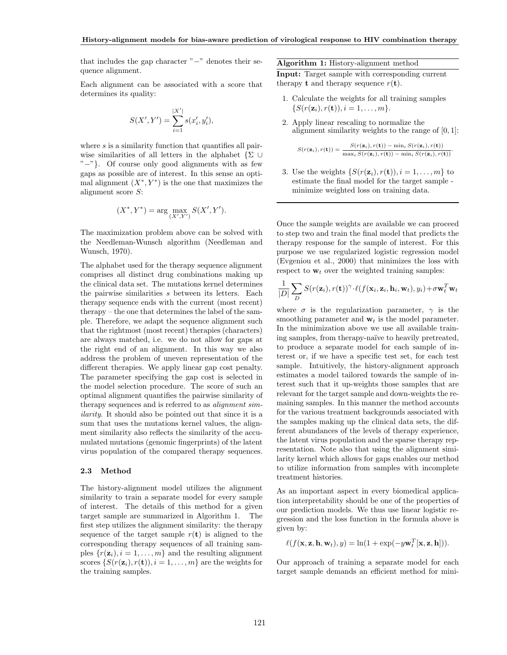that includes the gap character "−" denotes their sequence alignment.

Each alignment can be associated with a score that determines its quality:

$$
S(X', Y') = \sum_{i=1}^{|X'|} s(x'_i, y'_i),
$$

where  $s$  is a similarity function that quantifies all pairwise similarities of all letters in the alphabet  $\{\Sigma \cup$ "−"}. Of course only good alignments with as few gaps as possible are of interest. In this sense an optimal alignment  $(X^*, Y^*)$  is the one that maximizes the alignment score S:

$$
(X^*, Y^*) = \arg\max_{(X', Y')} S(X', Y').
$$

The maximization problem above can be solved with the Needleman-Wunsch algorithm (Needleman and Wunsch, 1970).

The alphabet used for the therapy sequence alignment comprises all distinct drug combinations making up the clinical data set. The mutations kernel determines the pairwise similarities s between its letters. Each therapy sequence ends with the current (most recent) therapy – the one that determines the label of the sample. Therefore, we adapt the sequence alignment such that the rightmost (most recent) therapies (characters) are always matched, i.e. we do not allow for gaps at the right end of an alignment. In this way we also address the problem of uneven representation of the different therapies. We apply linear gap cost penalty. The parameter specifying the gap cost is selected in the model selection procedure. The score of such an optimal alignment quantifies the pairwise similarity of therapy sequences and is referred to as *alignment sim*ilarity. It should also be pointed out that since it is a sum that uses the mutations kernel values, the alignment similarity also reflects the similarity of the accumulated mutations (genomic fingerprints) of the latent virus population of the compared therapy sequences.

#### 2.3 Method

The history-alignment model utilizes the alignment similarity to train a separate model for every sample of interest. The details of this method for a given target sample are summarized in Algorithm 1. The first step utilizes the alignment similarity: the therapy sequence of the target sample  $r(\mathbf{t})$  is aligned to the corresponding therapy sequences of all training samples  $\{r(\mathbf{z}_i), i = 1, \ldots, m\}$  and the resulting alignment scores  $\{S(r(\mathbf{z}_i), r(\mathbf{t})), i = 1, \dots, m\}$  are the weights for the training samples.

Algorithm 1: History-alignment method

Input: Target sample with corresponding current therapy **t** and therapy sequence  $r(\mathbf{t})$ .

- 1. Calculate the weights for all training samples  $\{S(r(\mathbf{z}_i), r(\mathbf{t})), i = 1, \ldots, m\}.$
- 2. Apply linear rescaling to normalize the alignment similarity weights to the range of  $[0, 1]$ :

$$
S(r(\mathbf{z}_i), r(\mathbf{t})) = \frac{S(r(\mathbf{z}_i), r(\mathbf{t})) - \min_i S(r(\mathbf{z}_i), r(\mathbf{t}))}{\max_i S(r(\mathbf{z}_i), r(\mathbf{t})) - \min_i S(r(\mathbf{z}_i), r(\mathbf{t}))}.
$$

3. Use the weights  $\{S(r(\mathbf{z}_i), r(\mathbf{t})), i = 1, \ldots, m\}$  to estimate the final model for the target sample minimize weighted loss on training data.

Once the sample weights are available we can proceed to step two and train the final model that predicts the therapy response for the sample of interest. For this purpose we use regularized logistic regression model (Evgeniou et al., 2000) that minimizes the loss with respect to  $w_t$  over the weighted training samples:

$$
\frac{1}{|D|}\sum_{D}S(r(\mathbf{z}_i),r(\mathbf{t}))^{\gamma}\cdot \ell(f(\mathbf{x}_i,\mathbf{z}_i,\mathbf{h}_i,\mathbf{w}_t),y_i)+\sigma\mathbf{w}_t^T\mathbf{w}_t
$$

where  $\sigma$  is the regularization parameter,  $\gamma$  is the smoothing parameter and  $w_t$  is the model parameter. In the minimization above we use all available training samples, from therapy-naïve to heavily pretreated, to produce a separate model for each sample of interest or, if we have a specific test set, for each test sample. Intuitively, the history-alignment approach estimates a model tailored towards the sample of interest such that it up-weights those samples that are relevant for the target sample and down-weights the remaining samples. In this manner the method accounts for the various treatment backgrounds associated with the samples making up the clinical data sets, the different abundances of the levels of therapy experience, the latent virus population and the sparse therapy representation. Note also that using the alignment similarity kernel which allows for gaps enables our method to utilize information from samples with incomplete treatment histories.

As an important aspect in every biomedical application interpretability should be one of the properties of our prediction models. We thus use linear logistic regression and the loss function in the formula above is given by:

$$
\ell(f(\mathbf{x}, \mathbf{z}, \mathbf{h}, \mathbf{w}_t), y) = \ln(1 + \exp(-y\mathbf{w}_t^T[\mathbf{x}, \mathbf{z}, \mathbf{h}))).
$$

Our approach of training a separate model for each target sample demands an efficient method for mini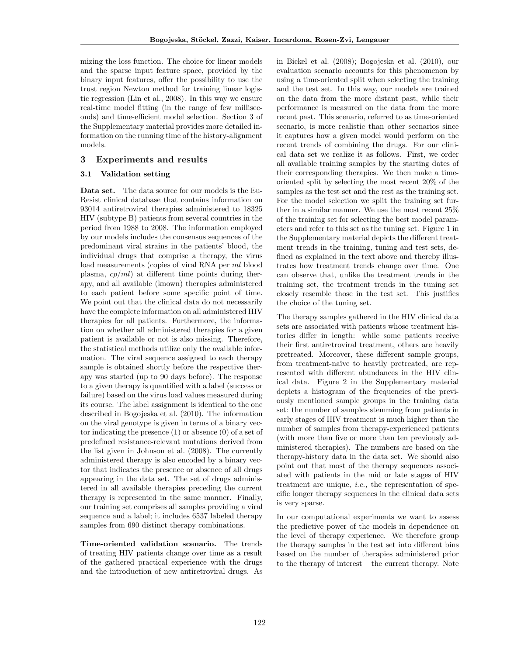mizing the loss function. The choice for linear models and the sparse input feature space, provided by the binary input features, offer the possibility to use the trust region Newton method for training linear logistic regression (Lin et al., 2008). In this way we ensure real-time model fitting (in the range of few milliseconds) and time-efficient model selection. Section 3 of the Supplementary material provides more detailed information on the running time of the history-alignment models.

## 3 Experiments and results

# 3.1 Validation setting

Data set. The data source for our models is the Eu-Resist clinical database that contains information on 93014 antiretroviral therapies administered to 18325 HIV (subtype B) patients from several countries in the period from 1988 to 2008. The information employed by our models includes the consensus sequences of the predominant viral strains in the patients' blood, the individual drugs that comprise a therapy, the virus load measurements (copies of viral RNA per ml blood plasma,  $cp/ml$  at different time points during therapy, and all available (known) therapies administered to each patient before some specific point of time. We point out that the clinical data do not necessarily have the complete information on all administered HIV therapies for all patients. Furthermore, the information on whether all administered therapies for a given patient is available or not is also missing. Therefore, the statistical methods utilize only the available information. The viral sequence assigned to each therapy sample is obtained shortly before the respective therapy was started (up to 90 days before). The response to a given therapy is quantified with a label (success or failure) based on the virus load values measured during its course. The label assignment is identical to the one described in Bogojeska et al. (2010). The information on the viral genotype is given in terms of a binary vector indicating the presence (1) or absence (0) of a set of predefined resistance-relevant mutations derived from the list given in Johnson et al. (2008). The currently administered therapy is also encoded by a binary vector that indicates the presence or absence of all drugs appearing in the data set. The set of drugs administered in all available therapies preceding the current therapy is represented in the same manner. Finally, our training set comprises all samples providing a viral sequence and a label; it includes 6537 labeled therapy samples from 690 distinct therapy combinations.

Time-oriented validation scenario. The trends of treating HIV patients change over time as a result of the gathered practical experience with the drugs and the introduction of new antiretroviral drugs. As in Bickel et al. (2008); Bogojeska et al. (2010), our evaluation scenario accounts for this phenomenon by using a time-oriented split when selecting the training and the test set. In this way, our models are trained on the data from the more distant past, while their performance is measured on the data from the more recent past. This scenario, referred to as time-oriented scenario, is more realistic than other scenarios since it captures how a given model would perform on the recent trends of combining the drugs. For our clinical data set we realize it as follows. First, we order all available training samples by the starting dates of their corresponding therapies. We then make a timeoriented split by selecting the most recent 20% of the samples as the test set and the rest as the training set. For the model selection we split the training set further in a similar manner. We use the most recent 25% of the training set for selecting the best model parameters and refer to this set as the tuning set. Figure 1 in the Supplementary material depicts the different treatment trends in the training, tuning and test sets, defined as explained in the text above and thereby illustrates how treatment trends change over time. One can observe that, unlike the treatment trends in the training set, the treatment trends in the tuning set closely resemble those in the test set. This justifies the choice of the tuning set.

The therapy samples gathered in the HIV clinical data sets are associated with patients whose treatment histories differ in length: while some patients receive their first antiretroviral treatment, others are heavily pretreated. Moreover, these different sample groups, from treatment-na¨ıve to heavily pretreated, are represented with different abundances in the HIV clinical data. Figure 2 in the Supplementary material depicts a histogram of the frequencies of the previously mentioned sample groups in the training data set: the number of samples stemming from patients in early stages of HIV treatment is much higher than the number of samples from therapy-experienced patients (with more than five or more than ten previously administered therapies). The numbers are based on the therapy-history data in the data set. We should also point out that most of the therapy sequences associated with patients in the mid or late stages of HIV treatment are unique, *i.e.*, the representation of specific longer therapy sequences in the clinical data sets is very sparse.

In our computational experiments we want to assess the predictive power of the models in dependence on the level of therapy experience. We therefore group the therapy samples in the test set into different bins based on the number of therapies administered prior to the therapy of interest – the current therapy. Note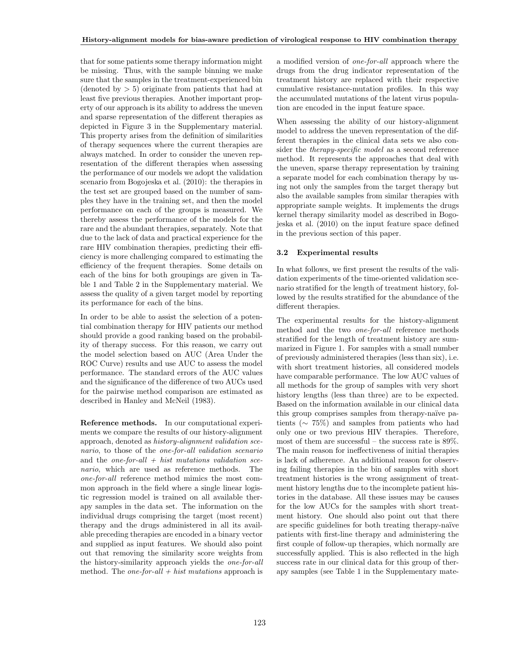that for some patients some therapy information might be missing. Thus, with the sample binning we make sure that the samples in the treatment-experienced bin (denoted by  $> 5$ ) originate from patients that had at least five previous therapies. Another important property of our approach is its ability to address the uneven and sparse representation of the different therapies as depicted in Figure 3 in the Supplementary material. This property arises from the definition of similarities of therapy sequences where the current therapies are always matched. In order to consider the uneven representation of the different therapies when assessing the performance of our models we adopt the validation scenario from Bogojeska et al. (2010): the therapies in the test set are grouped based on the number of samples they have in the training set, and then the model performance on each of the groups is measured. We thereby assess the performance of the models for the rare and the abundant therapies, separately. Note that due to the lack of data and practical experience for the rare HIV combination therapies, predicting their efficiency is more challenging compared to estimating the efficiency of the frequent therapies. Some details on each of the bins for both groupings are given in Table 1 and Table 2 in the Supplementary material. We assess the quality of a given target model by reporting its performance for each of the bins.

In order to be able to assist the selection of a potential combination therapy for HIV patients our method should provide a good ranking based on the probability of therapy success. For this reason, we carry out the model selection based on AUC (Area Under the ROC Curve) results and use AUC to assess the model performance. The standard errors of the AUC values and the significance of the difference of two AUCs used for the pairwise method comparison are estimated as described in Hanley and McNeil (1983).

Reference methods. In our computational experiments we compare the results of our history-alignment approach, denoted as history-alignment validation scenario, to those of the one-for-all validation scenario and the one-for-all  $+$  hist mutations validation scenario, which are used as reference methods. The one-for-all reference method mimics the most common approach in the field where a single linear logistic regression model is trained on all available therapy samples in the data set. The information on the individual drugs comprising the target (most recent) therapy and the drugs administered in all its available preceding therapies are encoded in a binary vector and supplied as input features. We should also point out that removing the similarity score weights from the history-similarity approach yields the one-for-all method. The *one-for-all*  $+$  *hist mutations* approach is a modified version of one-for-all approach where the drugs from the drug indicator representation of the treatment history are replaced with their respective cumulative resistance-mutation profiles. In this way the accumulated mutations of the latent virus population are encoded in the input feature space.

When assessing the ability of our history-alignment model to address the uneven representation of the different therapies in the clinical data sets we also consider the therapy-specific model as a second reference method. It represents the approaches that deal with the uneven, sparse therapy representation by training a separate model for each combination therapy by using not only the samples from the target therapy but also the available samples from similar therapies with appropriate sample weights. It implements the drugs kernel therapy similarity model as described in Bogojeska et al. (2010) on the input feature space defined in the previous section of this paper.

### 3.2 Experimental results

In what follows, we first present the results of the validation experiments of the time-oriented validation scenario stratified for the length of treatment history, followed by the results stratified for the abundance of the different therapies.

The experimental results for the history-alignment method and the two one-for-all reference methods stratified for the length of treatment history are summarized in Figure 1. For samples with a small number of previously administered therapies (less than six), i.e. with short treatment histories, all considered models have comparable performance. The low AUC values of all methods for the group of samples with very short history lengths (less than three) are to be expected. Based on the information available in our clinical data this group comprises samples from therapy-naïve patients (∼ 75%) and samples from patients who had only one or two previous HIV therapies. Therefore, most of them are successful – the success rate is 89%. The main reason for ineffectiveness of initial therapies is lack of adherence. An additional reason for observing failing therapies in the bin of samples with short treatment histories is the wrong assignment of treatment history lengths due to the incomplete patient histories in the database. All these issues may be causes for the low AUCs for the samples with short treatment history. One should also point out that there are specific guidelines for both treating therapy-na¨ıve patients with first-line therapy and administering the first couple of follow-up therapies, which normally are successfully applied. This is also reflected in the high success rate in our clinical data for this group of therapy samples (see Table 1 in the Supplementary mate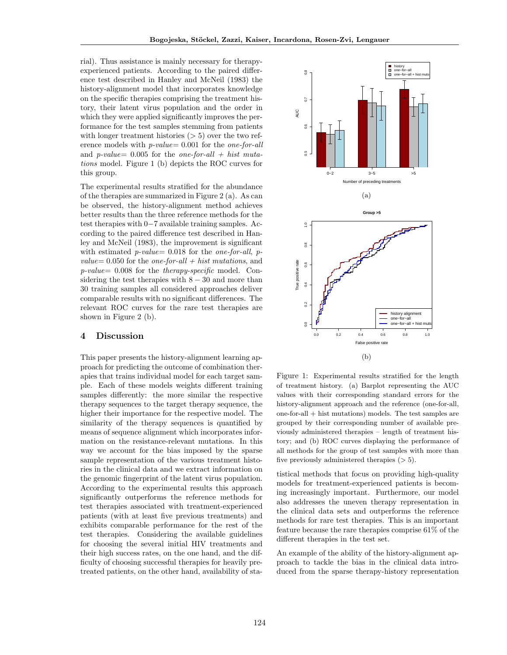rial). Thus assistance is mainly necessary for therapyexperienced patients. According to the paired difference test described in Hanley and McNeil (1983) the history-alignment model that incorporates knowledge on the specific therapies comprising the treatment history, their latent virus population and the order in which they were applied significantly improves the performance for the test samples stemming from patients with longer treatment histories  $(> 5)$  over the two reference models with  $p-value = 0.001$  for the one-for-all and p-value=  $0.005$  for the one-for-all + hist mutations model. Figure 1 (b) depicts the ROC curves for this group.

The experimental results stratified for the abundance of the therapies are summarized in Figure 2 (a). As can be observed, the history-alignment method achieves better results than the three reference methods for the test therapies with 0−7 available training samples. According to the paired difference test described in Hanley and McNeil (1983), the improvement is significant with estimated  $p-value = 0.018$  for the one-for-all, pvalue=  $0.050$  for the one-for-all + hist mutations, and  $p-value= 0.008$  for the *therapy-specific* model. Considering the test therapies with  $8 - 30$  and more than 30 training samples all considered approaches deliver comparable results with no significant differences. The relevant ROC curves for the rare test therapies are shown in Figure 2 (b).

### 4 Discussion

This paper presents the history-alignment learning approach for predicting the outcome of combination therapies that trains individual model for each target sample. Each of these models weights different training samples differently: the more similar the respective therapy sequences to the target therapy sequence, the higher their importance for the respective model. The similarity of the therapy sequences is quantified by means of sequence alignment which incorporates information on the resistance-relevant mutations. In this way we account for the bias imposed by the sparse sample representation of the various treatment histories in the clinical data and we extract information on the genomic fingerprint of the latent virus population. According to the experimental results this approach significantly outperforms the reference methods for test therapies associated with treatment-experienced patients (with at least five previous treatments) and exhibits comparable performance for the rest of the test therapies. Considering the available guidelines for choosing the several initial HIV treatments and their high success rates, on the one hand, and the difficulty of choosing successful therapies for heavily pretreated patients, on the other hand, availability of sta-



Figure 1: Experimental results stratified for the length of treatment history. (a) Barplot representing the AUC values with their corresponding standard errors for the history-alignment approach and the reference (one-for-all, one-for-all + hist mutations) models. The test samples are grouped by their corresponding number of available previously administered therapies – length of treatment history; and (b) ROC curves displaying the performance of all methods for the group of test samples with more than five previously administered therapies  $(> 5)$ .

tistical methods that focus on providing high-quality models for treatment-experienced patients is becoming increasingly important. Furthermore, our model also addresses the uneven therapy representation in the clinical data sets and outperforms the reference methods for rare test therapies. This is an important feature because the rare therapies comprise 61% of the different therapies in the test set.

An example of the ability of the history-alignment approach to tackle the bias in the clinical data introduced from the sparse therapy-history representation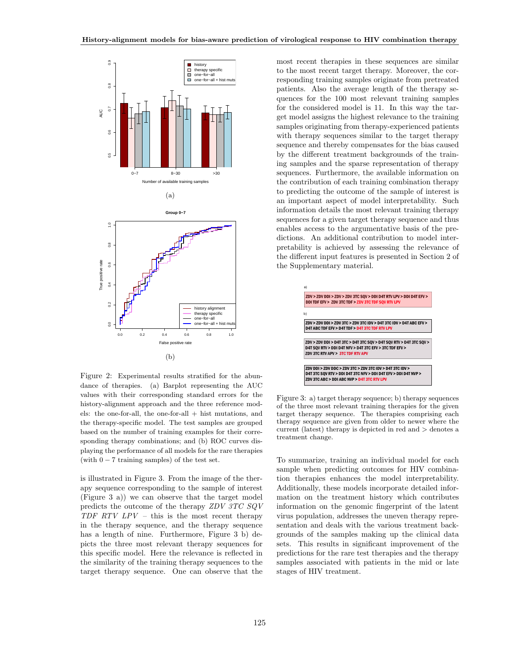

Figure 2: Experimental results stratified for the abundance of therapies. (a) Barplot representing the AUC values with their corresponding standard errors for the history-alignment approach and the three reference models: the one-for-all, the one-for-all + hist mutations, and the therapy-specific model. The test samples are grouped based on the number of training examples for their corresponding therapy combinations; and (b) ROC curves displaying the performance of all models for the rare therapies (with  $0 - 7$  training samples) of the test set.

is illustrated in Figure 3. From the image of the therapy sequence corresponding to the sample of interest (Figure 3 a)) we can observe that the target model predicts the outcome of the therapy ZDV 3TC SQV  $TDF$   $RTV$   $LPV$  – this is the most recent therapy in the therapy sequence, and the therapy sequence has a length of nine. Furthermore, Figure 3 b) depicts the three most relevant therapy sequences for this specific model. Here the relevance is reflected in the similarity of the training therapy sequences to the target therapy sequence. One can observe that the most recent therapies in these sequences are similar to the most recent target therapy. Moreover, the corresponding training samples originate from pretreated patients. Also the average length of the therapy sequences for the 100 most relevant training samples for the considered model is 11. In this way the target model assigns the highest relevance to the training samples originating from therapy-experienced patients with therapy sequences similar to the target therapy sequence and thereby compensates for the bias caused by the different treatment backgrounds of the training samples and the sparse representation of therapy sequences. Furthermore, the available information on the contribution of each training combination therapy to predicting the outcome of the sample of interest is an important aspect of model interpretability. Such information details the most relevant training therapy sequences for a given target therapy sequence and thus enables access to the argumentative basis of the predictions. An additional contribution to model interpretability is achieved by assessing the relevance of the different input features is presented in Section 2 of the Supplementary material.



Figure 3: a) target therapy sequence; b) therapy sequences of the three most relevant training therapies for the given target therapy sequence. The therapies comprising each therapy sequence are given from older to newer where the current (latest) therapy is depicted in red and > denotes a treatment change.

To summarize, training an individual model for each sample when predicting outcomes for HIV combination therapies enhances the model interpretability. Additionally, these models incorporate detailed information on the treatment history which contributes information on the genomic fingerprint of the latent virus population, addresses the uneven therapy representation and deals with the various treatment backgrounds of the samples making up the clinical data sets. This results in significant improvement of the predictions for the rare test therapies and the therapy samples associated with patients in the mid or late stages of HIV treatment.